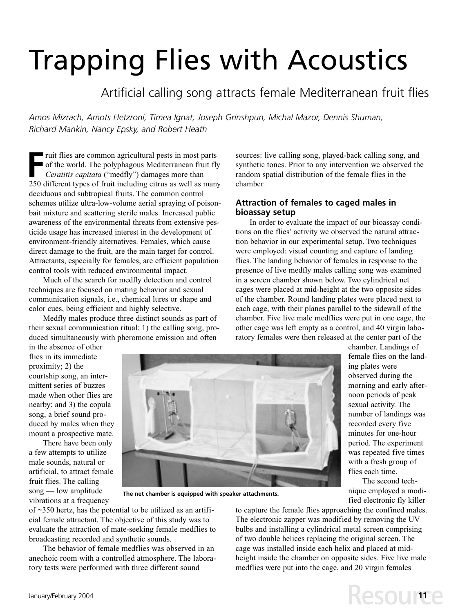# Trapping Flies with Acoustics

# Artificial calling song attracts female Mediterranean fruit flies

*Amos Mizrach, Amots Hetzroni, Timea Ignat, Joseph Grinshpun, Michal Mazor, Dennis Shuman, Richard Mankin, Nancy Epsky, and Robert Heath*

FR THE TRIM THE TRIM THE TRIM THE TRIM THE TRIM THE TRIM THE Ceratitis capitata ("medfly") damages more than<br>
250 different types of fruit including citrus as well as man of the world. The polyphagous Mediterranean fruit fly *Ceratitis capitata* ("medfly") damages more than 250 different types of fruit including citrus as well as many deciduous and subtropical fruits. The common control schemes utilize ultra-low-volume aerial spraying of poisonbait mixture and scattering sterile males. Increased public awareness of the environmental threats from extensive pesticide usage has increased interest in the development of environment-friendly alternatives. Females, which cause direct damage to the fruit, are the main target for control. Attractants, especially for females, are efficient population control tools with reduced environmental impact.

Much of the search for medfly detection and control techniques are focused on mating behavior and sexual communication signals, i.e., chemical lures or shape and color cues, being efficient and highly selective.

Medfly males produce three distinct sounds as part of their sexual communication ritual: 1) the calling song, produced simultaneously with pheromone emission and often

sources: live calling song, played-back calling song, and synthetic tones. Prior to any intervention we observed the random spatial distribution of the female flies in the chamber.

## **Attraction of females to caged males in bioassay setup**

In order to evaluate the impact of our bioassay conditions on the flies' activity we observed the natural attraction behavior in our experimental setup. Two techniques were employed: visual counting and capture of landing flies. The landing behavior of females in response to the presence of live medfly males calling song was examined in a screen chamber shown below. Two cylindrical net cages were placed at mid-height at the two opposite sides of the chamber. Round landing plates were placed next to each cage, with their planes parallel to the sidewall of the chamber. Five live male medflies were put in one cage, the other cage was left empty as a control, and 40 virgin laboratory females were then released at the center part of the

in the absence of other flies in its immediate proximity; 2) the courtship song, an intermittent series of buzzes made when other flies are nearby; and 3) the copula song, a brief sound produced by males when they mount a prospective mate.

There have been only a few attempts to utilize male sounds, natural or artificial, to attract female fruit flies. The calling song — low amplitude vibrations at a frequency



**The net chamber is equipped with speaker attachments.**

of ~350 hertz, has the potential to be utilized as an artificial female attractant. The objective of this study was to evaluate the attraction of mate-seeking female medflies to broadcasting recorded and synthetic sounds.

The behavior of female medflies was observed in an anechoic room with a controlled atmosphere. The laboratory tests were performed with three different sound

female flies on the landing plates were observed during the morning and early afternoon periods of peak sexual activity. The number of landings was recorded every five minutes for one-hour period. The experiment was repeated five times with a fresh group of flies each time.

chamber. Landings of

The second technique employed a modified electronic fly killer

**Resource** 

to capture the female flies approaching the confined males. The electronic zapper was modified by removing the UV bulbs and installing a cylindrical metal screen comprising of two double helices replacing the original screen. The cage was installed inside each helix and placed at midheight inside the chamber on opposite sides. Five live male medflies were put into the cage, and 20 virgin females